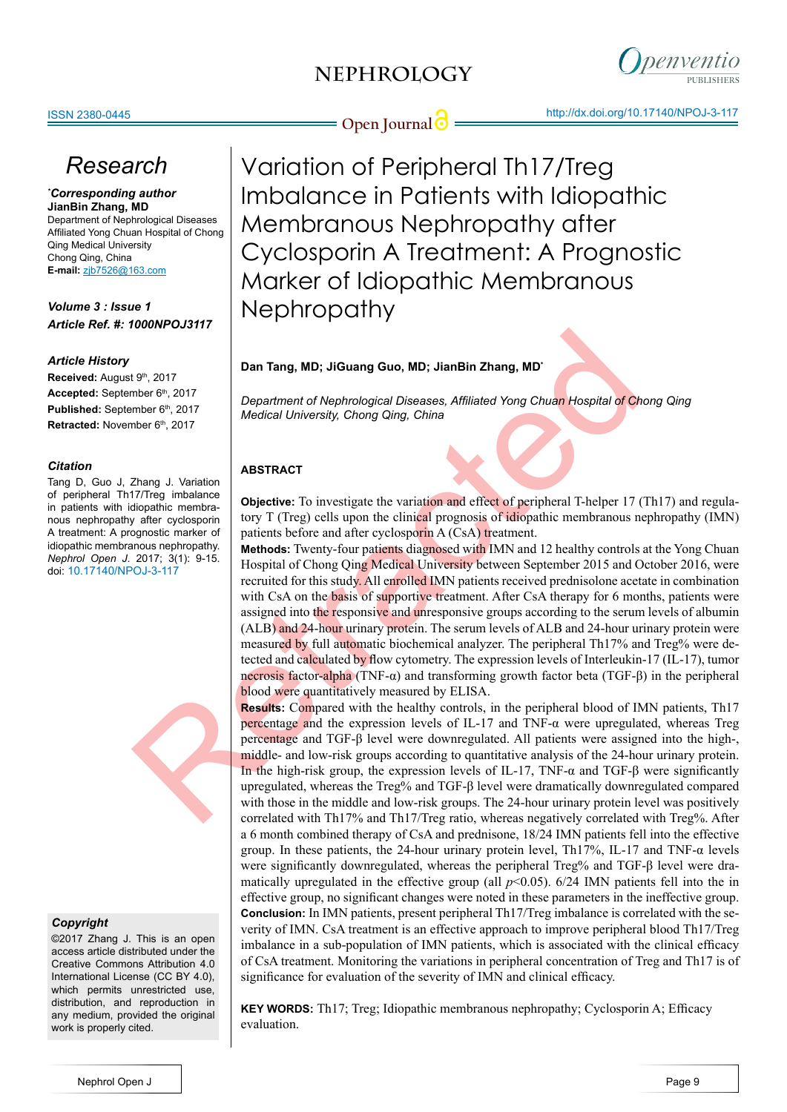

**Open Journal <b>C** = http://dx.doi.org/10.17140/NPOJ-3-117

# *Research*

*\* Corresponding author* **JianBin Zhang, MD** Department of Nephrological Diseases Affiliated Yong Chuan Hospital of Chong Qing Medical University Chong Qing, China **E-mail:** zjb7526@163.com

*Volume 3 : Issue 1 Article Ref. #: 1000NPOJ3117*

### *Article History*

**Received:** August 9th, 2017 Accepted: September 6th, 2017 Published: September 6<sup>th</sup>, 2017 Retracted: November 6<sup>th</sup>, 2017

#### *Citation*

Tang D, Guo J, Zhang J. Variation of peripheral Th17/Treg imbalance in patients with idiopathic membranous nephropathy after cyclosporin A treatment: A prognostic marker of idiopathic membranous nephropathy. *Nephrol Open J*. 2017; 3(1): 9-15. doi: 10.17140/NPOJ-3-117

# *Copyright*

©2017 Zhang J. This is an open access article distributed under the Creative Commons Attribution 4.0 International License (CC BY 4.0), which permits unrestricted use, distribution, and reproduction in any medium, provided the original work is properly cited.

Variation of Peripheral Th17/Treg Imbalance in Patients with Idiopathic Membranous Nephropathy after Cyclosporin A Treatment: A Prognostic Marker of Idiopathic Membranous **Nephropathy** 

# **Dan Tang, MD; JiGuang Guo, MD; JianBin Zhang, MD\***

*Department of Nephrological Diseases, Affiliated Yong Chuan Hospital of Chong Qing Medical University, Chong Qing, China*

# **ABSTRACT**

**Objective:** To investigate the variation and effect of peripheral T-helper 17 (Th17) and regulatory T (Treg) cells upon the clinical prognosis of idiopathic membranous nephropathy (IMN) patients before and after cyclosporin A (CsA) treatment.

19, 2017<br> **Dan Tang, MD; JiGuang Guo, MD; JianBin Zhang, MD**<br>
There 6<sup>9,</sup> 2017<br>
There 6<sup>9,</sup> 2017<br>
Department of Nephrological Diseases, Affiliated Yong Chuan Hospital of Ch<br>
There is 2017<br>
Medical University, Chong Qing, C **Methods:** Twenty-four patients diagnosed with IMN and 12 healthy controls at the Yong Chuan Hospital of Chong Qing Medical University between September 2015 and October 2016, were recruited for this study. All enrolled IMN patients received prednisolone acetate in combination with CsA on the basis of supportive treatment. After CsA therapy for 6 months, patients were assigned into the responsive and unresponsive groups according to the serum levels of albumin (ALB) and 24-hour urinary protein. The serum levels of ALB and 24-hour urinary protein were measured by full automatic biochemical analyzer. The peripheral Th17% and Treg% were detected and calculated by flow cytometry. The expression levels of Interleukin-17 (IL-17), tumor necrosis factor-alpha (TNF-α) and transforming growth factor beta (TGF-β) in the peripheral blood were quantitatively measured by ELISA.

**Results:** Compared with the healthy controls, in the peripheral blood of IMN patients, Th17 percentage and the expression levels of IL-17 and TNF- $\alpha$  were upregulated, whereas Treg percentage and TGF-β level were downregulated. All patients were assigned into the high-, middle- and low-risk groups according to quantitative analysis of the 24-hour urinary protein. In the high-risk group, the expression levels of IL-17, TNF-α and TGF-β were significantly upregulated, whereas the Treg% and TGF-β level were dramatically downregulated compared with those in the middle and low-risk groups. The 24-hour urinary protein level was positively correlated with Th17% and Th17/Treg ratio, whereas negatively correlated with Treg%. After a 6 month combined therapy of CsA and prednisone, 18/24 IMN patients fell into the effective group. In these patients, the 24-hour urinary protein level, Th17%, IL-17 and TNF- $\alpha$  levels were significantly downregulated, whereas the peripheral Treg% and TGF-β level were dramatically upregulated in the effective group (all  $p<0.05$ ). 6/24 IMN patients fell into the in effective group, no significant changes were noted in these parameters in the ineffective group. **Conclusion:** In IMN patients, present peripheral Th17/Treg imbalance is correlated with the severity of IMN. CsA treatment is an effective approach to improve peripheral blood Th17/Treg imbalance in a sub-population of IMN patients, which is associated with the clinical efficacy of CsA treatment. Monitoring the variations in peripheral concentration of Treg and Th17 is of significance for evaluation of the severity of IMN and clinical efficacy.

**KEY WORDS:** Th17; Treg; Idiopathic membranous nephropathy; Cyclosporin A; Efficacy evaluation.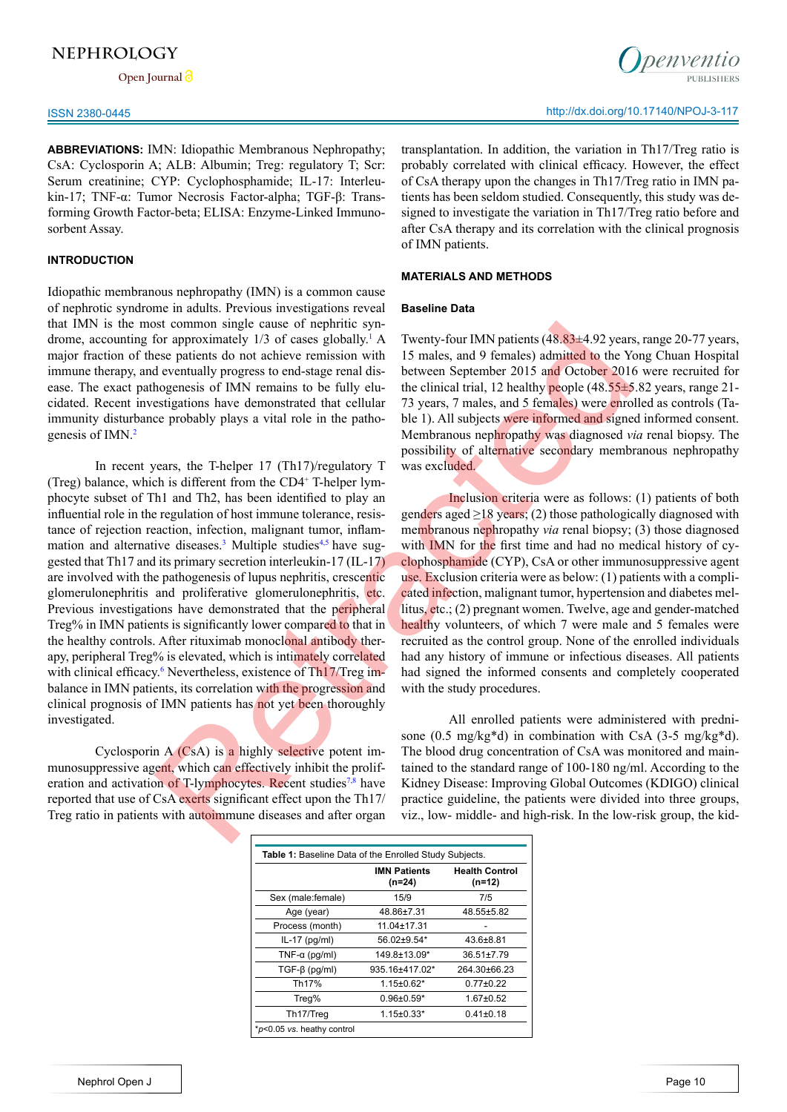**Open Journal**

**ABBREVIATIONS:** IMN: Idiopathic Membranous Nephropathy; CsA: Cyclosporin A; ALB: Albumin; Treg: regulatory T; Scr: Serum creatinine; CYP: Cyclophosphamide; IL-17: Interleukin-17; TNF-α: Tumor Necrosis Factor-alpha; TGF-β: Transforming Growth Factor-beta; ELISA: Enzyme-Linked Immunosorbent Assay.

### **INTRODUCTION**

Idiopathic membranous nephropathy (IMN) is a common cause of nephrotic syndrome in adults. Previous investigations reveal that IMN is the most common single cause of nephritic syndrome, accounting for approximately  $1/3$  of cases globally.<sup>1</sup> A major fraction of these patients do not achieve remission with immune therapy, and eventually progress to end-stage renal disease. The exact pathogenesis of IMN remains to be fully elucidated. Recent investigations have demonstrated that cellular immunity disturbance probably plays a vital role in the patho-genesis of IMN.<sup>[2](#page-5-1)</sup>

In recent years, the T-helper 17 (Th17)/regulatory T (Treg) balance, which is different from the CD4+ T-helper lymphocyte subset of Th1 and Th2, has been identified to play an influential role in the regulation of host immune tolerance, resistance of rejection reaction, infection, malignant tumor, inflammation and alternative diseases.<sup>3</sup> Multiple studies<sup>4,5</sup> have suggested that Th17 and its primary secretion interleukin-17 (IL-17) are involved with the pathogenesis of lupus nephritis, crescentic glomerulonephritis and proliferative glomerulonephritis, etc. Previous investigations have demonstrated that the peripheral Treg% in IMN patients is significantly lower compared to that in the healthy controls. After rituximab monoclonal antibody therapy, peripheral Treg% is elevated, which is intimately correlated with clinical efficacy.<sup>6</sup> Nevertheless, existence of Th<sub>17</sub>/Treg imbalance in IMN patients, its correlation with the progression and clinical prognosis of IMN patients has not yet been thoroughly investigated. is common single cause of nephrite sym-<br>Experiments (48.83+4.92 years<br>of compromisingle cause of nephride sym-<br>and 9 females) admitted to the Yor approximately 1/3 of cases globally<br><sup>1</sup> A Twenty-four IMN patients (48.83+4

Cyclosporin A (CsA) is a highly selective potent immunosuppressive agent, which can effectively inhibit the proliferation and activation of T-lymphocytes. Recent studies<sup>7,8</sup> have reported that use of CsA exerts significant effect upon the Th17/ Treg ratio in patients with autoimmune diseases and after organ transplantation. In addition, the variation in Th17/Treg ratio is probably correlated with clinical efficacy. However, the effect of CsA therapy upon the changes in Th17/Treg ratio in IMN patients has been seldom studied. Consequently, this study was designed to investigate the variation in Th17/Treg ratio before and after CsA therapy and its correlation with the clinical prognosis of IMN patients.

#### **MATERIALS AND METHODS**

#### **Baseline Data**

Twenty-four IMN patients (48.83±4.92 years, range 20-77 years, 15 males, and 9 females) admitted to the Yong Chuan Hospital between September 2015 and October 2016 were recruited for the clinical trial, 12 healthy people  $(48.55\pm5.82)$  years, range 21-73 years, 7 males, and 5 females) were enrolled as controls (Table 1). All subjects were informed and signed informed consent. Membranous nephropathy was diagnosed *via* renal biopsy. The possibility of alternative secondary membranous nephropathy was excluded.

Inclusion criteria were as follows: (1) patients of both genders aged  $\geq$ 18 years; (2) those pathologically diagnosed with membranous nephropathy *via* renal biopsy; (3) those diagnosed with IMN for the first time and had no medical history of cyclophosphamide (CYP), CsA or other immunosuppressive agent use. Exclusion criteria were as below: (1) patients with a complicated infection, malignant tumor, hypertension and diabetes mellitus, etc.; (2) pregnant women. Twelve, age and gender-matched healthy volunteers, of which 7 were male and 5 females were recruited as the control group. None of the enrolled individuals had any history of immune or infectious diseases. All patients had signed the informed consents and completely cooperated with the study procedures.

All enrolled patients were administered with prednisone (0.5 mg/kg\*d) in combination with CsA (3-5 mg/kg\*d). The blood drug concentration of CsA was monitored and maintained to the standard range of 100-180 ng/ml. According to the Kidney Disease: Improving Global Outcomes (KDIGO) clinical practice guideline, the patients were divided into three groups, viz., low- middle- and high-risk. In the low-risk group, the kid-

| Table 1: Baseline Data of the Enrolled Study Subjects. |                               |                                 |  |  |
|--------------------------------------------------------|-------------------------------|---------------------------------|--|--|
|                                                        | <b>IMN Patients</b><br>(n=24) | <b>Health Control</b><br>(n=12) |  |  |
| Sex (male:female)                                      | 15/9                          | 7/5                             |  |  |
| Age (year)                                             | 48.86±7.31                    | 48.55±5.82                      |  |  |
| Process (month)                                        | $11.04 \pm 17.31$             |                                 |  |  |
| $IL-17$ (pg/ml)                                        | 56.02±9.54*                   | $43.6 + 8.81$                   |  |  |
| TNF- $\alpha$ (pq/ml)                                  | 149.8±13.09*                  | $36.51 \pm 7.79$                |  |  |
| $TGF-\beta$ (pg/ml)                                    | 935.16±417.02*                | 264.30+66.23                    |  |  |
| Th <sub>17</sub> %                                     | $1.15 \pm 0.62$ *             | $0.77 + 0.22$                   |  |  |
| Treg%                                                  | $0.96 \pm 0.59*$              | $1.67 + 0.52$                   |  |  |
| Th <sub>17</sub> /Treq                                 | $1.15 \pm 0.33*$              | $0.41 \pm 0.18$                 |  |  |
| *p<0.05 vs. heathy control                             |                               |                                 |  |  |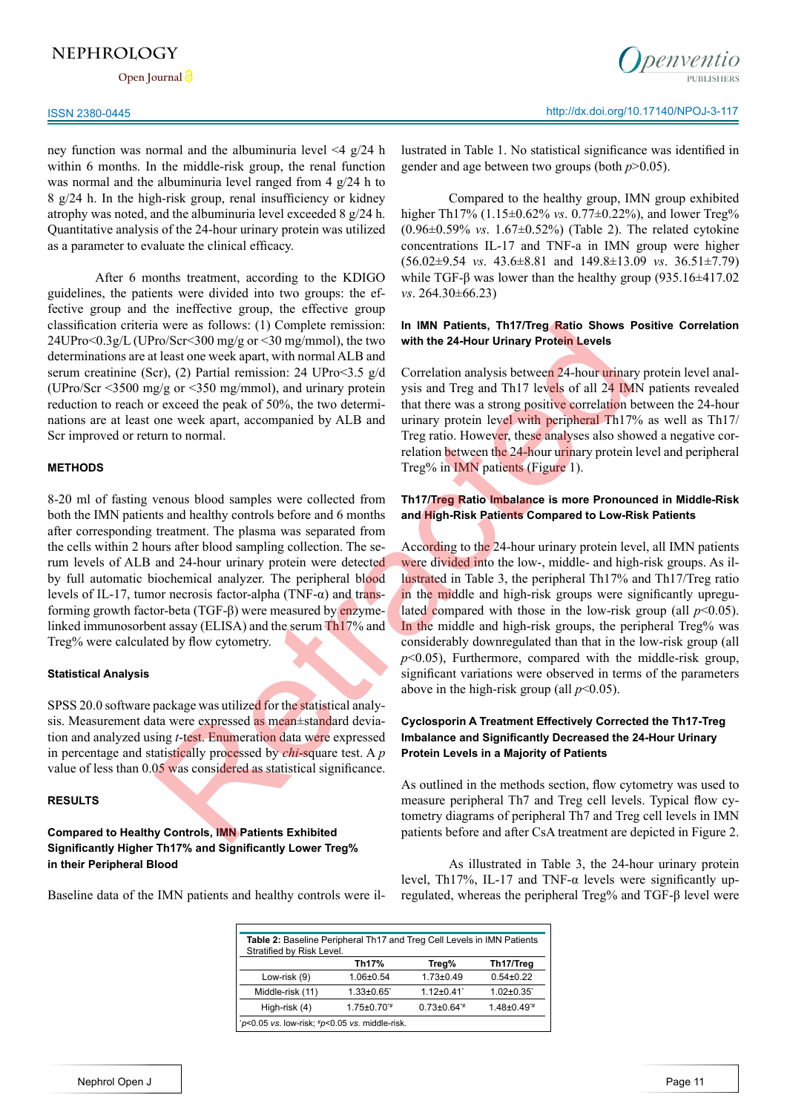**Open Journal**

ney function was normal and the albuminuria level <4 g/24 h within 6 months. In the middle-risk group, the renal function was normal and the albuminuria level ranged from 4 g/24 h to 8 g/24 h. In the high-risk group, renal insufficiency or kidney atrophy was noted, and the albuminuria level exceeded 8 g/24 h. Quantitative analysis of the 24-hour urinary protein was utilized as a parameter to evaluate the clinical efficacy.

After 6 months treatment, according to the KDIGO guidelines, the patients were divided into two groups: the effective group and the ineffective group, the effective group classification criteria were as follows: (1) Complete remission: 24UPro<0.3g/L (UPro/Scr<300 mg/g or <30 mg/mmol), the two determinations are at least one week apart, with normal ALB and serum creatinine (Scr), (2) Partial remission: 24 UPro<3.5 g/d (UPro/Scr <3500 mg/g or <350 mg/mmol), and urinary protein reduction to reach or exceed the peak of 50%, the two determinations are at least one week apart, accompanied by ALB and Scr improved or return to normal.

#### **METHODS**

8-20 ml of fasting venous blood samples were collected from both the IMN patients and healthy controls before and 6 months after corresponding treatment. The plasma was separated from the cells within 2 hours after blood sampling collection. The serum levels of ALB and 24-hour urinary protein were detected by full automatic biochemical analyzer. The peripheral blood levels of IL-17, tumor necrosis factor-alpha (TNF-α) and transforming growth factor-beta (TGF-β) were measured by enzymelinked immunosorbent assay (ELISA) and the serum Th17% and Treg% were calculated by flow cytometry. aver as follows: (1) Complete remission: In **IMP Patients**, thit/Trog<sub></sub> Ratio Shows For Ser-300 mg/g or <300 mg/mmol), the two with the 24-Hour Urhary Problem Levels.<br>
Least one week apart, with normal ALB and<br>
gig or <33

#### **Statistical Analysis**

SPSS 20.0 software package was utilized for the statistical analysis. Measurement data were expressed as mean±standard deviation and analyzed using *t*-test. Enumeration data were expressed in percentage and statistically processed by *chi*-square test. A *p* value of less than 0.05 was considered as statistical significance.

### **RESULTS**

**Compared to Healthy Controls, IMN Patients Exhibited Significantly Higher Th17% and Significantly Lower Treg% in their Peripheral Blood**

Baseline data of the IMN patients and healthy controls were il-

penyentio

lustrated in Table 1. No statistical significance was identified in gender and age between two groups (both *p*>0.05).

Compared to the healthy group, IMN group exhibited higher Th17% (1.15±0.62% *vs*. 0.77±0.22%), and lower Treg% (0.96±0.59% *vs*. 1.67±0.52%) (Table 2). The related cytokine concentrations IL-17 and TNF-a in IMN group were higher (56.02±9.54 *vs*. 43.6±8.81 and 149.8±13.09 *vs*. 36.51±7.79) while TGF- $\beta$  was lower than the healthy group (935.16 $\pm$ 417.02 *vs*. 264.30±66.23)

#### **In IMN Patients, Th17/Treg Ratio Shows Positive Correlation with the 24-Hour Urinary Protein Levels**

Correlation analysis between 24-hour urinary protein level analysis and Treg and Th17 levels of all 24 IMN patients revealed that there was a strong positive correlation between the 24-hour urinary protein level with peripheral Th17% as well as Th17/ Treg ratio. However, these analyses also showed a negative correlation between the 24-hour urinary protein level and peripheral Treg% in IMN patients (Figure 1).

### **Th17/Treg Ratio Imbalance is more Pronounced in Middle-Risk and High-Risk Patients Compared to Low-Risk Patients**

According to the 24-hour urinary protein level, all IMN patients were divided into the low-, middle- and high-risk groups. As illustrated in Table 3, the peripheral Th17% and Th17/Treg ratio in the middle and high-risk groups were significantly upregulated compared with those in the low-risk group (all  $p<0.05$ ). In the middle and high-risk groups, the peripheral Treg% was considerably downregulated than that in the low-risk group (all *p*<0.05), Furthermore, compared with the middle-risk group, significant variations were observed in terms of the parameters above in the high-risk group (all  $p<0.05$ ).

### **Cyclosporin A Treatment Effectively Corrected the Th17-Treg Imbalance and Significantly Decreased the 24-Hour Urinary Protein Levels in a Majority of Patients**

As outlined in the methods section, flow cytometry was used to measure peripheral Th7 and Treg cell levels. Typical flow cytometry diagrams of peripheral Th7 and Treg cell levels in IMN patients before and after CsA treatment are depicted in Figure 2.

As illustrated in Table 3, the 24-hour urinary protein level, Th17%, IL-17 and TNF- $\alpha$  levels were significantly upregulated, whereas the peripheral Treg% and TGF-β level were

| <b>Table 2: Baseline Peripheral Th17 and Treg Cell Levels in IMN Patients</b> |                     |                               |                               |  |  |
|-------------------------------------------------------------------------------|---------------------|-------------------------------|-------------------------------|--|--|
| Stratified by Risk Level.                                                     |                     |                               |                               |  |  |
|                                                                               | Th17%               | Treg%                         | Th17/Treg                     |  |  |
| Low-risk (9)                                                                  | $1.06 \pm 0.54$     | $1.73 \pm 0.49$               | $0.54 + 0.22$                 |  |  |
| Middle-risk (11)                                                              | $1.33 \pm 0.65$     | $1.12 \pm 0.41$               | $1.02 \pm 0.35$               |  |  |
| High-risk (4)                                                                 | $1.75 \pm 0.70^{4}$ | $0.73 \pm 0.64$ <sup>**</sup> | $1.48 \pm 0.49^{\frac{4}{1}}$ |  |  |
| $p$ <0.05 vs. low-risk; $\#p$ <0.05 vs. middle-risk.                          |                     |                               |                               |  |  |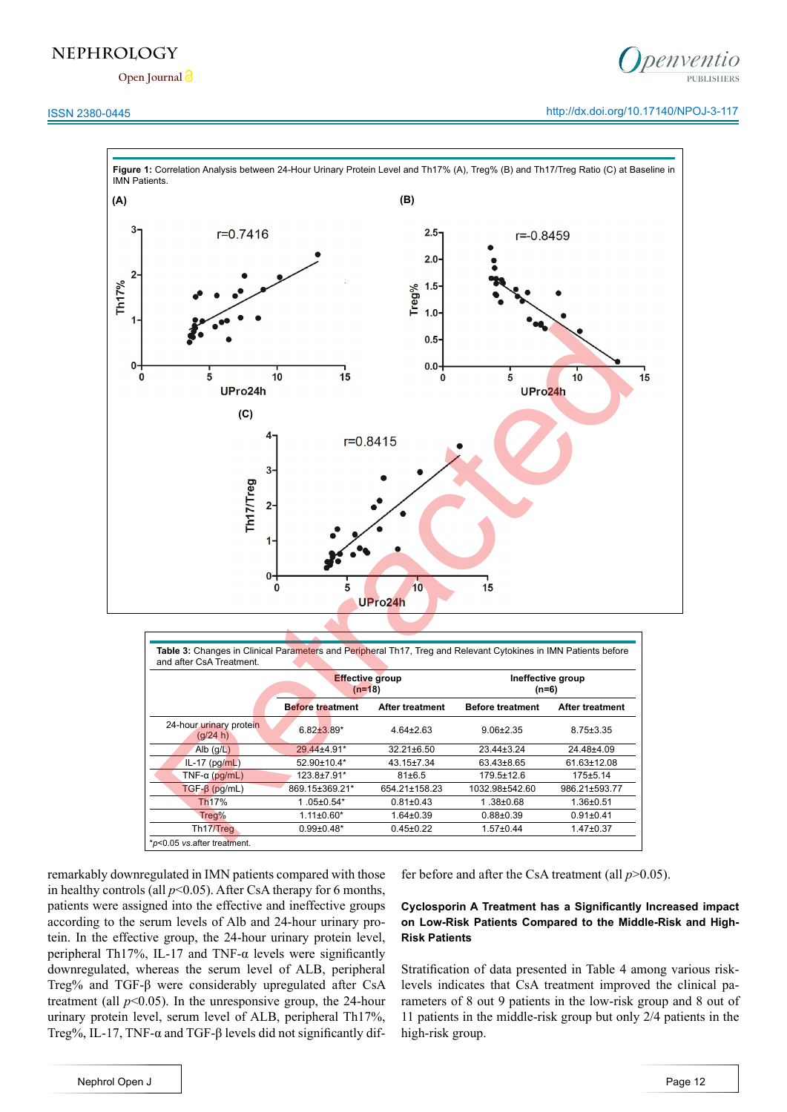**Open Journal**

## ISSN 2380-0445 http://dx.doi.org/10.17140/NPOJ-3-117

penventio



|                                     | <b>Effective group</b><br>$(n=18)$ |                        | Ineffective group<br>$(n=6)$ |                        |
|-------------------------------------|------------------------------------|------------------------|------------------------------|------------------------|
|                                     | <b>Before treatment</b>            | <b>After treatment</b> | <b>Before treatment</b>      | <b>After treatment</b> |
| 24-hour urinary protein<br>(g/24 h) | $6.82 \pm 3.89^*$                  | $4.64 \pm 2.63$        | $9.06 + 2.35$                | $8.75 \pm 3.35$        |
| Alb $(g/L)$                         | 29.44±4.91*                        | $32.21 \pm 6.50$       | $23.44 \pm 3.24$             | 24.48±4.09             |
| $IL-17$ (pg/mL)                     | 52.90±10.4*                        | 43.15±7.34             | 63.43±8.65                   | 61.63±12.08            |
| TNF- $\alpha$ (pq/mL)               | 123.8±7.91*                        | $81 \pm 6.5$           | 179.5±12.6                   | 175±5.14               |
| $TGF-B$ (pq/mL)                     | 869.15±369.21*                     | 654.21±158.23          | 1032.98±542.60               | 986.21±593.77          |
| Th <sub>17%</sub>                   | $1.05 \pm 0.54*$                   | $0.81 \pm 0.43$        | $1.38 + 0.68$                | $1.36 + 0.51$          |
| Treg%                               | $1.11 \pm 0.60^*$                  | $1.64 \pm 0.39$        | $0.88 + 0.39$                | $0.91 \pm 0.41$        |
| Th <sub>17</sub> /Treq              | $0.99 \pm 0.48*$                   | $0.45 \pm 0.22$        | $1.57 \pm 0.44$              | $1.47 \pm 0.37$        |

remarkably downregulated in IMN patients compared with those in healthy controls (all  $p<0.05$ ). After CsA therapy for 6 months, patients were assigned into the effective and ineffective groups according to the serum levels of Alb and 24-hour urinary protein. In the effective group, the 24-hour urinary protein level, peripheral Th17%, IL-17 and TNF- $\alpha$  levels were significantly downregulated, whereas the serum level of ALB, peripheral Treg% and TGF-β were considerably upregulated after CsA treatment (all  $p<0.05$ ). In the unresponsive group, the 24-hour urinary protein level, serum level of ALB, peripheral Th17%, Treg%, IL-17, TNF-α and TGF-β levels did not significantly differ before and after the CsA treatment (all *p*>0.05).

### **Cyclosporin A Treatment has a Significantly Increased impact on Low-Risk Patients Compared to the Middle-Risk and High-Risk Patients**

Stratification of data presented in Table 4 among various risklevels indicates that CsA treatment improved the clinical parameters of 8 out 9 patients in the low-risk group and 8 out of 11 patients in the middle-risk group but only 2/4 patients in the high-risk group.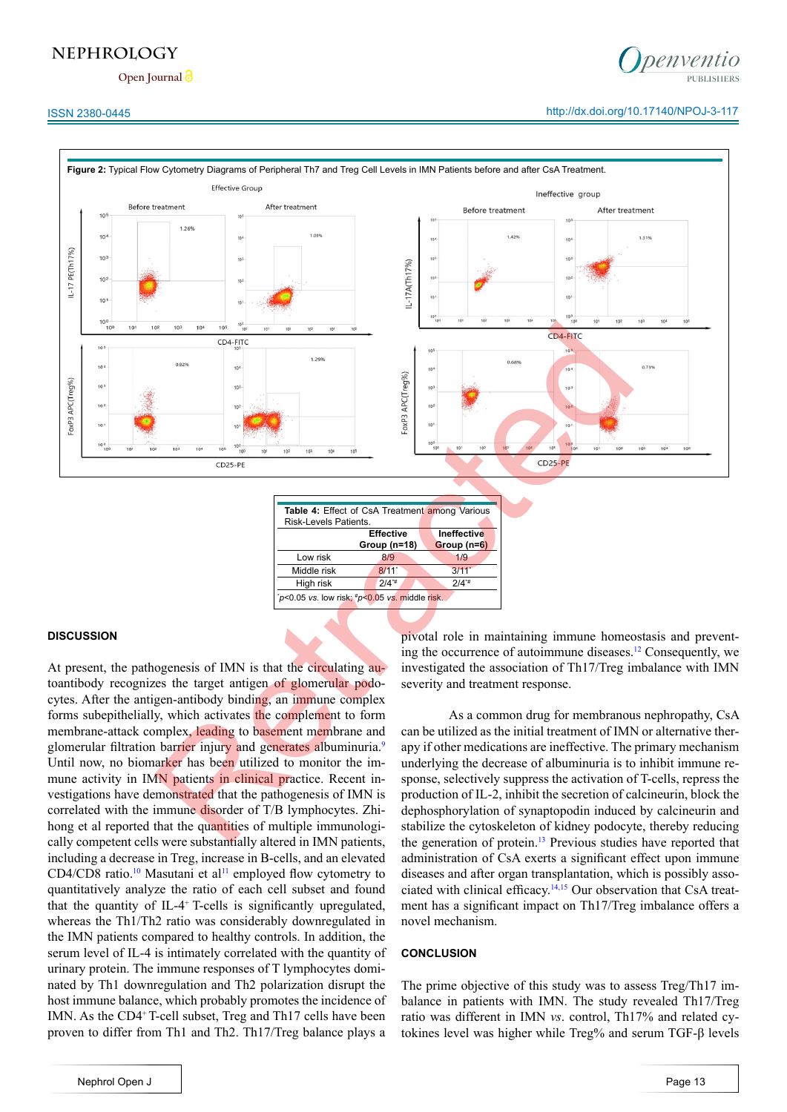**Open Journal**

# ISSN 2380-0445 http://dx.doi.org/10.17140/NPOJ-3-117



| Table 4: Effect of CsA Treatment among Various |                     |  |                    |  |
|------------------------------------------------|---------------------|--|--------------------|--|
| Risk-Levels Patients.                          |                     |  |                    |  |
|                                                | <b>Effective</b>    |  | <b>Ineffective</b> |  |
|                                                | Group (n=18)        |  | Group (n=6)        |  |
| Low risk                                       | 8/9                 |  | 1/9                |  |
| Middle risk                                    | $8/11$ <sup>*</sup> |  | 3/11'              |  |
| High risk                                      | $2/4^{*}$           |  | $2/4^{*}$          |  |
| "p<0.05 vs. low risk; "p<0.05 vs. middle risk. |                     |  |                    |  |

#### **DISCUSSION**

At present, the pathogenesis of IMN is that the circulating autoantibody recognizes the target antigen of glomerular podocytes. After the antigen-antibody binding, an immune complex forms subepithelially, which activates the complement to form membrane-attack complex, leading to basement membrane and glomerular filtration barrier injury and generates albuminuria.<sup>9</sup> Until now, no biomarker has been utilized to monitor the immune activity in IMN patients in clinical practice. Recent investigations have demonstrated that the pathogenesis of IMN is correlated with the immune disorder of T/B lymphocytes. Zhihong et al reported that the quantities of multiple immunologically competent cells were substantially altered in IMN patients, including a decrease in Treg, increase in B-cells, and an elevated CD4/CD8 ratio.<sup>[10](#page-5-7)</sup> Masutani et al<sup>[11](#page-5-8)</sup> employed flow cytometry to quantitatively analyze the ratio of each cell subset and found that the quantity of IL-4+ T-cells is significantly upregulated, whereas the Th1/Th2 ratio was considerably downregulated in the IMN patients compared to healthy controls. In addition, the serum level of IL-4 is intimately correlated with the quantity of urinary protein. The immune responses of T lymphocytes dominated by Th1 downregulation and Th2 polarization disrupt the host immune balance, which probably promotes the incidence of IMN. As the CD4+ T-cell subset, Treg and Th17 cells have been proven to differ from Th1 and Th2. Th17/Treg balance plays a

pivotal role in maintaining immune homeostasis and prevent-ing the occurrence of autoimmune diseases.<sup>[12](#page-6-0)</sup> Consequently, we investigated the association of Th17/Treg imbalance with IMN severity and treatment response.

As a common drug for membranous nephropathy, CsA can be utilized as the initial treatment of IMN or alternative therapy if other medications are ineffective. The primary mechanism underlying the decrease of albuminuria is to inhibit immune response, selectively suppress the activation of T-cells, repress the production of IL-2, inhibit the secretion of calcineurin, block the dephosphorylation of synaptopodin induced by calcineurin and stabilize the cytoskeleton of kidney podocyte, thereby reducing the generation of protein.<sup>13</sup> Previous studies have reported that administration of CsA exerts a significant effect upon immune diseases and after organ transplantation, which is possibly associated with clinical efficacy.[14,15](#page-6-2) Our observation that CsA treatment has a significant impact on Th17/Treg imbalance offers a novel mechanism.

#### **CONCLUSION**

The prime objective of this study was to assess Treg/Th17 imbalance in patients with IMN. The study revealed Th17/Treg ratio was different in IMN *vs*. control, Th17% and related cytokines level was higher while Treg% and serum TGF-β levels

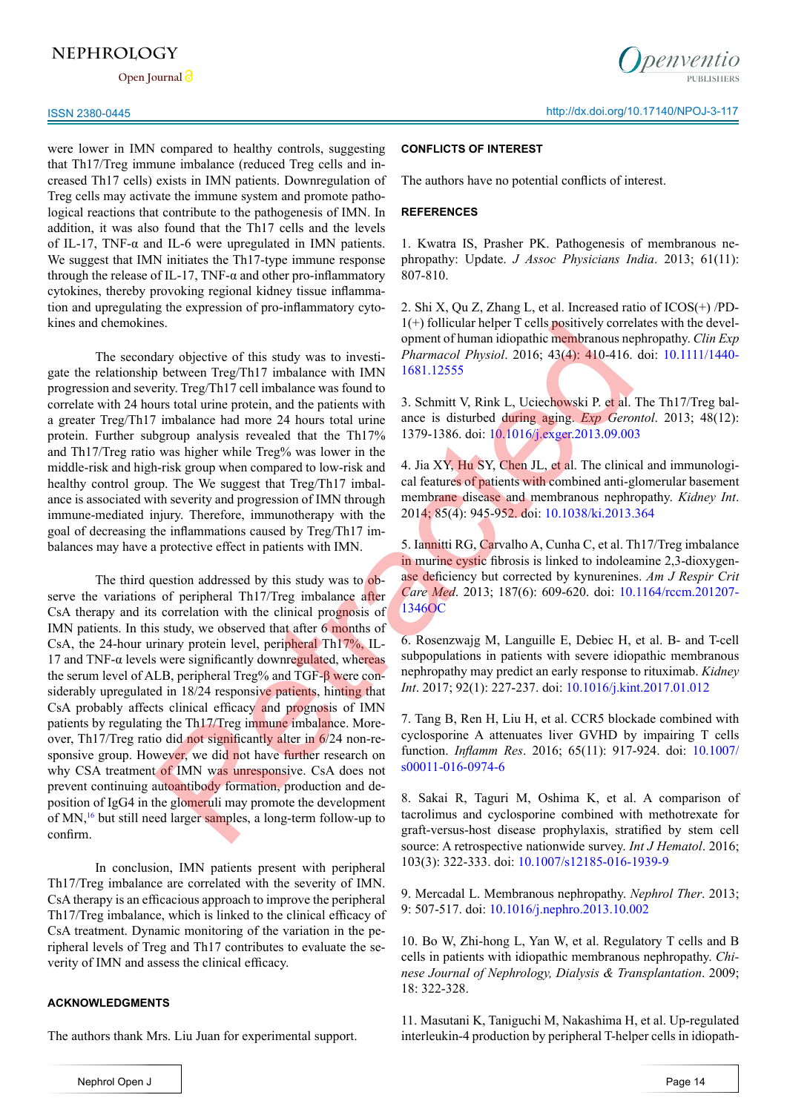**Open Journal**

were lower in IMN compared to healthy controls, suggesting that Th17/Treg immune imbalance (reduced Treg cells and increased Th17 cells) exists in IMN patients. Downregulation of Treg cells may activate the immune system and promote pathological reactions that contribute to the pathogenesis of IMN. In addition, it was also found that the Th17 cells and the levels of IL-17, TNF- $\alpha$  and IL-6 were upregulated in IMN patients. We suggest that IMN initiates the Th17-type immune response through the release of IL-17, TNF- $\alpha$  and other pro-inflammatory cytokines, thereby provoking regional kidney tissue inflammation and upregulating the expression of pro-inflammatory cytokines and chemokines.

The secondary objective of this study was to investigate the relationship between Treg/Th17 imbalance with IMN progression and severity. Treg/Th17 cell imbalance was found to correlate with 24 hours total urine protein, and the patients with a greater Treg/Th17 imbalance had more 24 hours total urine protein. Further subgroup analysis revealed that the Th17% and Th17/Treg ratio was higher while Treg% was lower in the middle-risk and high-risk group when compared to low-risk and healthy control group. The We suggest that Treg/Th17 imbalance is associated with severity and progression of IMN through immune-mediated injury. Therefore, immunotherapy with the goal of decreasing the inflammations caused by Treg/Th17 imbalances may have a protective effect in patients with IMN.

The third question addressed by this study was to observe the variations of peripheral Th17/Treg imbalance after CsA therapy and its correlation with the clinical prognosis of IMN patients. In this study, we observed that after 6 months of CsA, the 24-hour urinary protein level, peripheral Th17%, IL-17 and TNF- $\alpha$  levels were significantly downregulated, whereas the serum level of ALB, peripheral Treg% and TGF-β were considerably upregulated in 18/24 responsive patients, hinting that CsA probably affects clinical efficacy and prognosis of IMN patients by regulating the Th17/Treg immune imbalance. Moreover, Th17/Treg ratio did not significantly alter in 6/24 non-responsive group. However, we did not have further research on why CSA treatment of IMN was unresponsive. CsA does not prevent continuing autoantibody formation, production and deposition of IgG4 in the glomeruli may promote the development of MN,[16](#page-6-3) but still need larger samples, a long-term follow-up to confirm. es.<br>
Somethistic of this study was to investi-<br>
(a) the could the preficiency correct to by oppose the properties of this scheme of hundrin diopathic memb[ra](https://doi.org/10.1164/rccm.201207-1346OC)nous ne<br>
b between Treg/Th17 coll imbalance was found to<br>
http://

In conclusion, IMN patients present with peripheral Th17/Treg imbalance are correlated with the severity of IMN. CsA therapy is an efficacious approach to improve the peripheral Th17/Treg imbalance, which is linked to the clinical efficacy of CsA treatment. Dynamic monitoring of the variation in the peripheral levels of Treg and Th17 contributes to evaluate the severity of IMN and assess the clinical efficacy.

#### **ACKNOWLEDGMENTS**

The authors thank Mrs. Liu Juan for experimental support.

*<u>Denventio</u>* 

#### **CONFLICTS OF INTEREST**

The authors have no potential conflicts of interest.

#### **REFERENCES**

<span id="page-5-0"></span>1. Kwatra IS, Prasher PK. Pathogenesis of membranous nephropathy: Update. *J Assoc Physicians India*. 2013; 61(11): 807-810.

<span id="page-5-1"></span>2. Shi X, Qu Z, Zhang L, et al. Increased ratio of ICOS(+) /PD-1(+) follicular helper T cells positively correlates with the development of human idiopathic membranous nephropathy. *Clin Exp Pharmacol Physiol*. 2016; 43(4): 410-416. doi: [10.1111/1440-](http://dx.doi.org/10.1111/1440-1681.12555) 1681.12555

<span id="page-5-2"></span>3. Schmitt V, Rink L, Uciechowski P. et al. The Th17/Treg balance is disturbed during aging. *Exp Gerontol*. 2013; 48(12): 1379-1386. doi: 10.1016/j.exger.2013.09.003

<span id="page-5-3"></span>4. Jia XY, Hu SY, Chen JL, et al. The clinical and immunological features of patients with combined anti-glomerular basement membrane disease and membranous nephropathy. *Kidney Int*. 2014; 85(4): 945-952. doi: 10.1038/ki.2013.364

5. Iannitti RG, Carvalho A, Cunha C, et al. Th17/Treg imbalance in murine cystic fibrosis is linked to indoleamine 2,3-dioxygenase deficiency but corrected by kynurenines. *Am J Respir Crit Care Med*. 2013; 187(6): 609-620. doi: [10.1164/rccm.201207-](https://doi.org/10.1164/rccm.201207-1346OC) 1346OC

<span id="page-5-4"></span>6. Rosenzwajg M, Languille E, Debiec H, et al. B- and T-cell subpopulations in patients with severe idiopathic membranous nephropathy may predict an early response to rituximab. *Kidney Int*. 2017; 92(1): 227-237. doi: [10.1016/j.kint.2017.01.012](http://dx.doi.org/10.1016/j.kint.2017.01.012)

<span id="page-5-5"></span>7. Tang B, Ren H, Liu H, et al. CCR5 blockade combined with cyclosporine A attenuates liver GVHD by impairing T cells function. *Inflamm Res*. 2016; 65(11): 917-924. doi: [10.1007/](https://dx.doi.org/10.1007/s00011-016-0974-6) s00011-016-0974-6

8. Sakai R, Taguri M, Oshima K, et al. A comparison of tacrolimus and cyclosporine combined with methotrexate for graft-versus-host disease prophylaxis, stratified by stem cell source: A retrospective nationwide survey. *Int J Hematol*. 2016; 103(3): 322-333. doi: [10.1007/s12185-016-1939-9](https://dx.doi.org/10.1007/s12185-016-1939-9)

<span id="page-5-6"></span>9. Mercadal L. Membranous nephropathy. *Nephrol Ther*. 2013; 9: 507-517. doi: [10.1016/j.nephro.2013.10.002](http://dx.doi.org/10.1016/j.nephro.2013.10.002)

<span id="page-5-7"></span>10. Bo W, Zhi-hong L, Yan W, et al. Regulatory T cells and B cells in patients with idiopathic membranous nephropathy. *Chinese Journal of Nephrology, Dialysis & Transplantation*. 2009; 18: 322-328.

<span id="page-5-8"></span>11. Masutani K, Taniguchi M, Nakashima H, et al. Up-regulated interleukin-4 production by peripheral T-helper cells in idiopath-